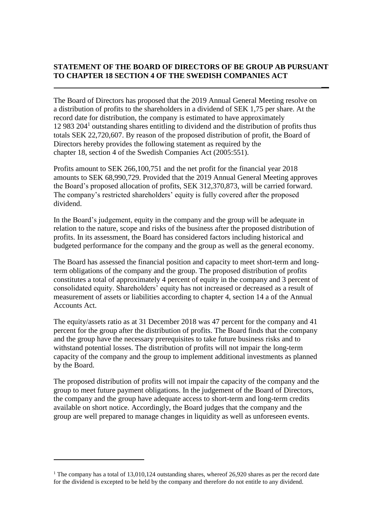## **STATEMENT OF THE BOARD OF DIRECTORS OF BE GROUP AB PURSUANT TO CHAPTER 18 SECTION 4 OF THE SWEDISH COMPANIES ACT**

**\_\_**

The Board of Directors has proposed that the 2019 Annual General Meeting resolve on a distribution of profits to the shareholders in a dividend of SEK 1,75 per share. At the record date for distribution, the company is estimated to have approximately  $12983 204<sup>1</sup>$  outstanding shares entitling to dividend and the distribution of profits thus totals SEK 22,720,607. By reason of the proposed distribution of profit, the Board of Directors hereby provides the following statement as required by the chapter 18, section 4 of the Swedish Companies Act (2005:551).

Profits amount to SEK 266,100,751 and the net profit for the financial year 2018 amounts to SEK 68,990,729. Provided that the 2019 Annual General Meeting approves the Board's proposed allocation of profits, SEK 312,370,873, will be carried forward. The company's restricted shareholders' equity is fully covered after the proposed dividend.

In the Board's judgement, equity in the company and the group will be adequate in relation to the nature, scope and risks of the business after the proposed distribution of profits. In its assessment, the Board has considered factors including historical and budgeted performance for the company and the group as well as the general economy.

The Board has assessed the financial position and capacity to meet short-term and longterm obligations of the company and the group. The proposed distribution of profits constitutes a total of approximately 4 percent of equity in the company and 3 percent of consolidated equity. Shareholders' equity has not increased or decreased as a result of measurement of assets or liabilities according to chapter 4, section 14 a of the Annual Accounts Act.

The equity/assets ratio as at 31 December 2018 was 47 percent for the company and 41 percent for the group after the distribution of profits. The Board finds that the company and the group have the necessary prerequisites to take future business risks and to withstand potential losses. The distribution of profits will not impair the long-term capacity of the company and the group to implement additional investments as planned by the Board.

The proposed distribution of profits will not impair the capacity of the company and the group to meet future payment obligations. In the judgement of the Board of Directors, the company and the group have adequate access to short-term and long-term credits available on short notice. Accordingly, the Board judges that the company and the group are well prepared to manage changes in liquidity as well as unforeseen events.

1

<sup>&</sup>lt;sup>1</sup> The company has a total of 13,010,124 outstanding shares, whereof 26,920 shares as per the record date for the dividend is excepted to be held by the company and therefore do not entitle to any dividend.